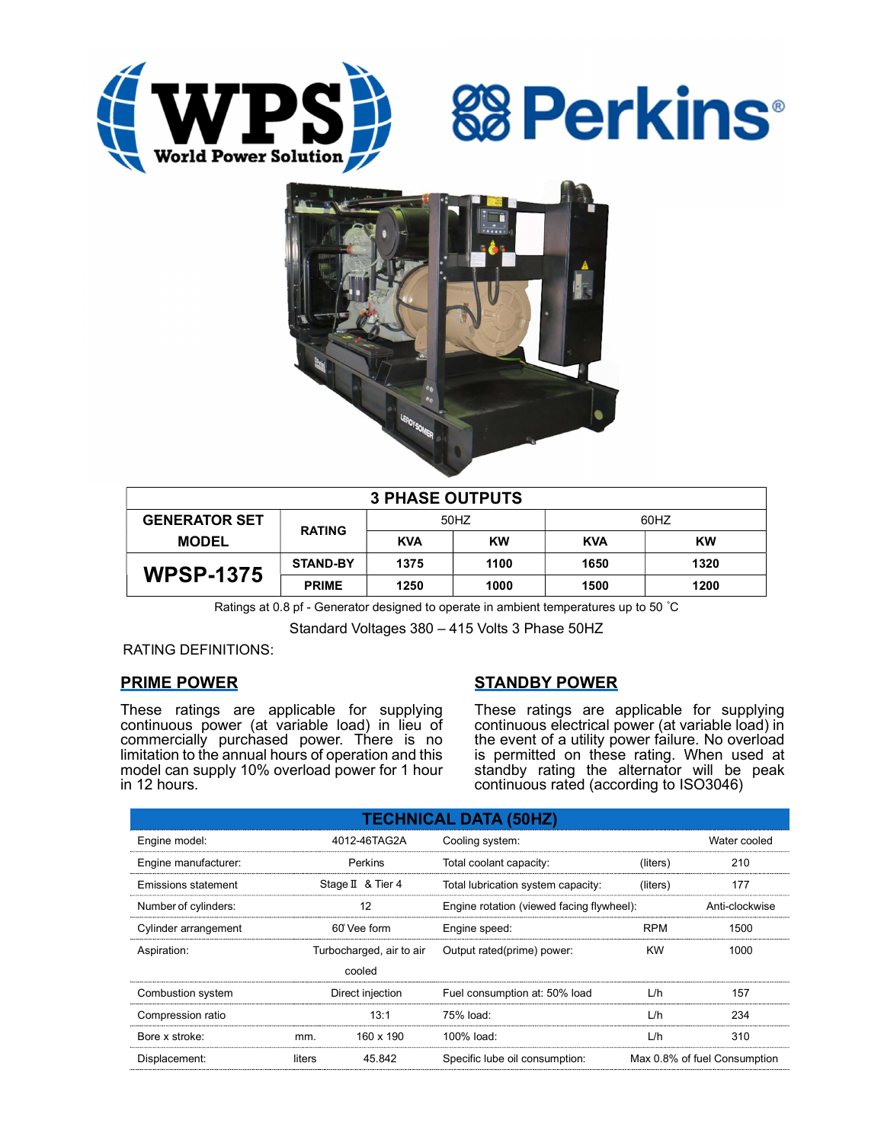





| <b>3 PHASE OUTPUTS</b> |                 |            |           |            |      |  |
|------------------------|-----------------|------------|-----------|------------|------|--|
| <b>GENERATOR SET</b>   | <b>RATING</b>   | 50HZ       |           | 60HZ       |      |  |
| <b>MODEL</b>           |                 | <b>KVA</b> | <b>KW</b> | <b>KVA</b> | KW   |  |
| <b>WPSP-1375</b>       | <b>STAND-BY</b> | 1375       | 1100      | 1650       | 1320 |  |
|                        | <b>PRIME</b>    | 1250       | 1000      | 1500       | 1200 |  |

Ratings at 0.8 pf - Generator designed to operate in ambient temperatures up to 50 °C

Standard Voltages 380 – 415 Volts 3 Phase 50HZ

RATING DEFINITIONS:

# PRIME POWER

These ratings are applicable for supplying continuous power (at variable load) in lieu of commercially purchased power. There is no limitation to the annual hours of operation and this model can supply 10% overload power for 1 hour in 12 hours.

# STANDBY POWER

These ratings are applicable for supplying continuous electrical power (at variable load) in the event of a utility power failure. No overload is permitted on these rating. When used at standby rating the alternator will be peak continuous rated (according to ISO3046)

| <b>TECHNICAL DATA (50HZ)</b> |                          |                   |                                           |            |                              |  |
|------------------------------|--------------------------|-------------------|-------------------------------------------|------------|------------------------------|--|
| Engine model:                |                          | 4012-46TAG2A      | Cooling system:                           |            | Water cooled                 |  |
| Engine manufacturer:         |                          | Perkins           | Total coolant capacity:                   | (liters)   | 210                          |  |
| Emissions statement          |                          | Stage II & Tier 4 | Total lubrication system capacity:        | (liters)   | 177                          |  |
| Number of cylinders:         | 12                       |                   | Engine rotation (viewed facing flywheel): |            | Anti-clockwise               |  |
| Cylinder arrangement         |                          | 60° Vee form      | Engine speed:                             | <b>RPM</b> | 1500                         |  |
| Aspiration:                  | Turbocharged, air to air |                   | Output rated(prime) power:                | <b>KW</b>  | 1000                         |  |
| cooled                       |                          |                   |                                           |            |                              |  |
| Combustion system            | Direct injection         |                   | Fuel consumption at: 50% load             | L/h        | 157                          |  |
| Compression ratio            |                          | 13:1              | 75% load:                                 | L/h        | 234                          |  |
| Bore x stroke:               | mm.                      | 160 x 190         | 100% load:                                | L/h        | 310                          |  |
| Displacement:                | liters                   | 45.842            | Specific lube oil consumption:            |            | Max 0.8% of fuel Consumption |  |